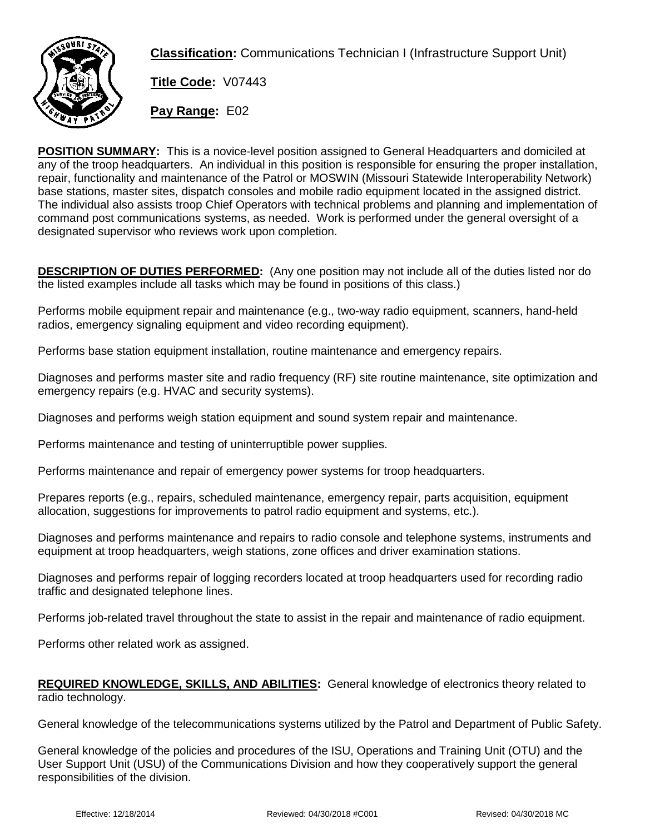

**Classification:** Communications Technician I (Infrastructure Support Unit)

**Title Code:** V07443

**Pay Range:** E02

**POSITION SUMMARY:** This is a novice-level position assigned to General Headquarters and domiciled at any of the troop headquarters. An individual in this position is responsible for ensuring the proper installation, repair, functionality and maintenance of the Patrol or MOSWIN (Missouri Statewide Interoperability Network) base stations, master sites, dispatch consoles and mobile radio equipment located in the assigned district. The individual also assists troop Chief Operators with technical problems and planning and implementation of command post communications systems, as needed. Work is performed under the general oversight of a designated supervisor who reviews work upon completion.

**DESCRIPTION OF DUTIES PERFORMED:** (Any one position may not include all of the duties listed nor do the listed examples include all tasks which may be found in positions of this class.)

Performs mobile equipment repair and maintenance (e.g., two-way radio equipment, scanners, hand-held radios, emergency signaling equipment and video recording equipment).

Performs base station equipment installation, routine maintenance and emergency repairs.

Diagnoses and performs master site and radio frequency (RF) site routine maintenance, site optimization and emergency repairs (e.g. HVAC and security systems).

Diagnoses and performs weigh station equipment and sound system repair and maintenance.

Performs maintenance and testing of uninterruptible power supplies.

Performs maintenance and repair of emergency power systems for troop headquarters.

Prepares reports (e.g., repairs, scheduled maintenance, emergency repair, parts acquisition, equipment allocation, suggestions for improvements to patrol radio equipment and systems, etc.).

Diagnoses and performs maintenance and repairs to radio console and telephone systems, instruments and equipment at troop headquarters, weigh stations, zone offices and driver examination stations.

Diagnoses and performs repair of logging recorders located at troop headquarters used for recording radio traffic and designated telephone lines.

Performs job-related travel throughout the state to assist in the repair and maintenance of radio equipment.

Performs other related work as assigned.

## **REQUIRED KNOWLEDGE, SKILLS, AND ABILITIES:** General knowledge of electronics theory related to radio technology.

General knowledge of the telecommunications systems utilized by the Patrol and Department of Public Safety.

General knowledge of the policies and procedures of the ISU, Operations and Training Unit (OTU) and the User Support Unit (USU) of the Communications Division and how they cooperatively support the general responsibilities of the division.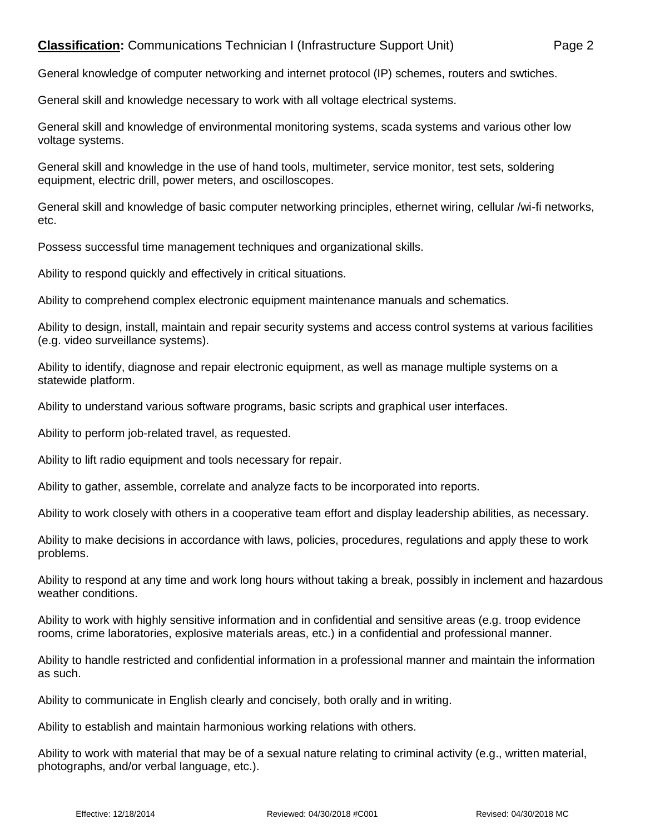## **Classification:** Communications Technician I (Infrastructure Support Unit) Page 2

General knowledge of computer networking and internet protocol (IP) schemes, routers and swtiches.

General skill and knowledge necessary to work with all voltage electrical systems.

General skill and knowledge of environmental monitoring systems, scada systems and various other low voltage systems.

General skill and knowledge in the use of hand tools, multimeter, service monitor, test sets, soldering equipment, electric drill, power meters, and oscilloscopes.

General skill and knowledge of basic computer networking principles, ethernet wiring, cellular /wi-fi networks, etc.

Possess successful time management techniques and organizational skills.

Ability to respond quickly and effectively in critical situations.

Ability to comprehend complex electronic equipment maintenance manuals and schematics.

Ability to design, install, maintain and repair security systems and access control systems at various facilities (e.g. video surveillance systems).

Ability to identify, diagnose and repair electronic equipment, as well as manage multiple systems on a statewide platform.

Ability to understand various software programs, basic scripts and graphical user interfaces.

Ability to perform job-related travel, as requested.

Ability to lift radio equipment and tools necessary for repair.

Ability to gather, assemble, correlate and analyze facts to be incorporated into reports.

Ability to work closely with others in a cooperative team effort and display leadership abilities, as necessary.

Ability to make decisions in accordance with laws, policies, procedures, regulations and apply these to work problems.

Ability to respond at any time and work long hours without taking a break, possibly in inclement and hazardous weather conditions.

Ability to work with highly sensitive information and in confidential and sensitive areas (e.g. troop evidence rooms, crime laboratories, explosive materials areas, etc.) in a confidential and professional manner.

Ability to handle restricted and confidential information in a professional manner and maintain the information as such.

Ability to communicate in English clearly and concisely, both orally and in writing.

Ability to establish and maintain harmonious working relations with others.

Ability to work with material that may be of a sexual nature relating to criminal activity (e.g., written material, photographs, and/or verbal language, etc.).